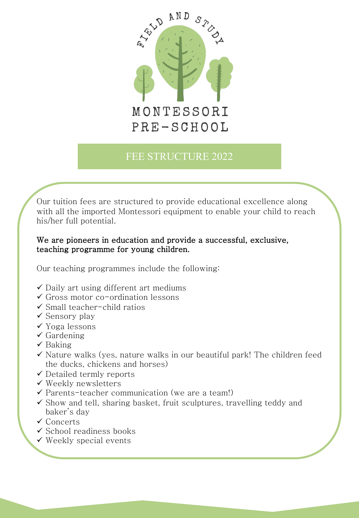

# FEE STRUCTURE 2022

Our tuition fees are structured to provide educational excellence along with all the imported Montessori equipment to enable your child to reach his/her full potential.

## We are pioneers in education and provide a successful, exclusive, teaching programme for young children.

Our teaching programmes include the following:

- $\checkmark$  Daily art using different art mediums
- $\checkmark$  Gross motor co-ordination lessons
- $\checkmark$  Small teacher-child ratios
- $\checkmark$  Sensory play
- $\checkmark$  Yoga lessons
- $\checkmark$  Gardening
- $\checkmark$  Baking
- $\checkmark$  Nature walks (yes, nature walks in our beautiful park! The children feed the ducks, chickens and horses)
- $\checkmark$  Detailed termly reports
- $\checkmark$  Weekly newsletters
- $\checkmark$  Parents-teacher communication (we are a team!)
- $\checkmark$  Show and tell, sharing basket, fruit sculptures, travelling teddy and baker's day
- $\checkmark$  Concerts
- $\checkmark$  School readiness books
- $\checkmark$  Weekly special events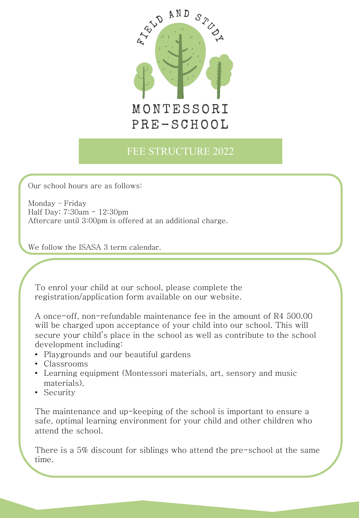

## FEE STRUCTURE 2022

Our school hours are as follows:

Monday – Friday Half Day: 7:30am - 12:30pm Aftercare until 3:00pm is offered at an additional charge.

We follow the ISASA 3 term calendar.

To enrol your child at our school, please complete the registration/application form available on our website.

A once-off, non-refundable maintenance fee in the amount of R4 500.00 will be charged upon acceptance of your child into our school. This will secure your child's place in the school as well as contribute to the school development including:

- Playgrounds and our beautiful gardens
- Classrooms
- Learning equipment (Montessori materials, art, sensory and music materials),
- Security

The maintenance and up-keeping of the school is important to ensure a safe, optimal learning environment for your child and other children who attend the school.

There is a 5% discount for siblings who attend the pre-school at the same time.